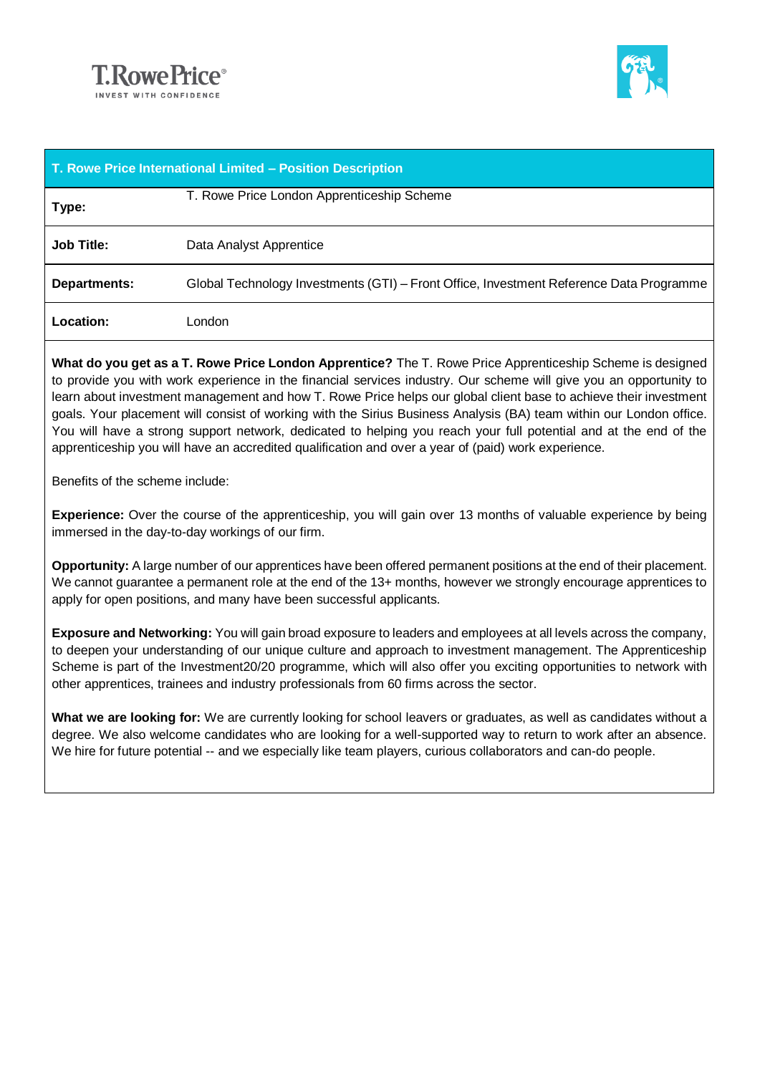



| T. Rowe Price International Limited - Position Description |                                                                                         |
|------------------------------------------------------------|-----------------------------------------------------------------------------------------|
| Type:                                                      | T. Rowe Price London Apprenticeship Scheme                                              |
| <b>Job Title:</b>                                          | Data Analyst Apprentice                                                                 |
| <b>Departments:</b>                                        | Global Technology Investments (GTI) – Front Office, Investment Reference Data Programme |
| Location:                                                  | London                                                                                  |

**What do you get as a T. Rowe Price London Apprentice?** The T. Rowe Price Apprenticeship Scheme is designed to provide you with work experience in the financial services industry. Our scheme will give you an opportunity to learn about investment management and how T. Rowe Price helps our global client base to achieve their investment goals. Your placement will consist of working with the Sirius Business Analysis (BA) team within our London office. You will have a strong support network, dedicated to helping you reach your full potential and at the end of the apprenticeship you will have an accredited qualification and over a year of (paid) work experience.

Benefits of the scheme include:

**Experience:** Over the course of the apprenticeship, you will gain over 13 months of valuable experience by being immersed in the day-to-day workings of our firm.

**Opportunity:** A large number of our apprentices have been offered permanent positions at the end of their placement. We cannot quarantee a permanent role at the end of the 13+ months, however we strongly encourage apprentices to apply for open positions, and many have been successful applicants.

**Exposure and Networking:** You will gain broad exposure to leaders and employees at all levels across the company, to deepen your understanding of our unique culture and approach to investment management. The Apprenticeship Scheme is part of the Investment20/20 programme, which will also offer you exciting opportunities to network with other apprentices, trainees and industry professionals from 60 firms across the sector.

**What we are looking for:** We are currently looking for school leavers or graduates, as well as candidates without a degree. We also welcome candidates who are looking for a well-supported way to return to work after an absence. We hire for future potential -- and we especially like team players, curious collaborators and can-do people.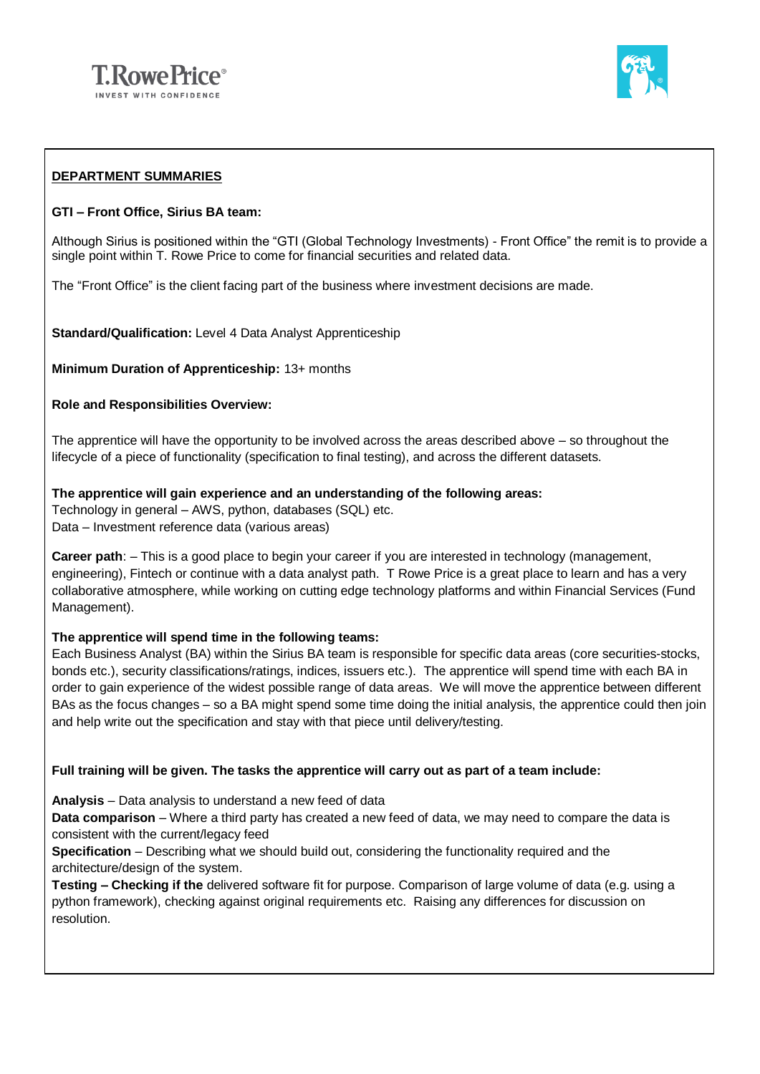



## **DEPARTMENT SUMMARIES**

### **GTI – Front Office, Sirius BA team:**

Although Sirius is positioned within the "GTI (Global Technology Investments) - Front Office" the remit is to provide a single point within T. Rowe Price to come for financial securities and related data.

The "Front Office" is the client facing part of the business where investment decisions are made.

**Standard/Qualification:** Level 4 Data Analyst Apprenticeship

**Minimum Duration of Apprenticeship:** 13+ months

### **Role and Responsibilities Overview:**

The apprentice will have the opportunity to be involved across the areas described above – so throughout the lifecycle of a piece of functionality (specification to final testing), and across the different datasets.

**The apprentice will gain experience and an understanding of the following areas:**

Technology in general – AWS, python, databases (SQL) etc. Data – Investment reference data (various areas)

**Career path**: – This is a good place to begin your career if you are interested in technology (management, engineering), Fintech or continue with a data analyst path. T Rowe Price is a great place to learn and has a very collaborative atmosphere, while working on cutting edge technology platforms and within Financial Services (Fund Management).

### **The apprentice will spend time in the following teams:**

Each Business Analyst (BA) within the Sirius BA team is responsible for specific data areas (core securities-stocks, bonds etc.), security classifications/ratings, indices, issuers etc.). The apprentice will spend time with each BA in order to gain experience of the widest possible range of data areas. We will move the apprentice between different BAs as the focus changes – so a BA might spend some time doing the initial analysis, the apprentice could then join and help write out the specification and stay with that piece until delivery/testing.

### **Full training will be given. The tasks the apprentice will carry out as part of a team include:**

**Analysis** – Data analysis to understand a new feed of data

**Data comparison** – Where a third party has created a new feed of data, we may need to compare the data is consistent with the current/legacy feed

**Specification** – Describing what we should build out, considering the functionality required and the architecture/design of the system.

**Testing – Checking if the** delivered software fit for purpose. Comparison of large volume of data (e.g. using a python framework), checking against original requirements etc. Raising any differences for discussion on resolution.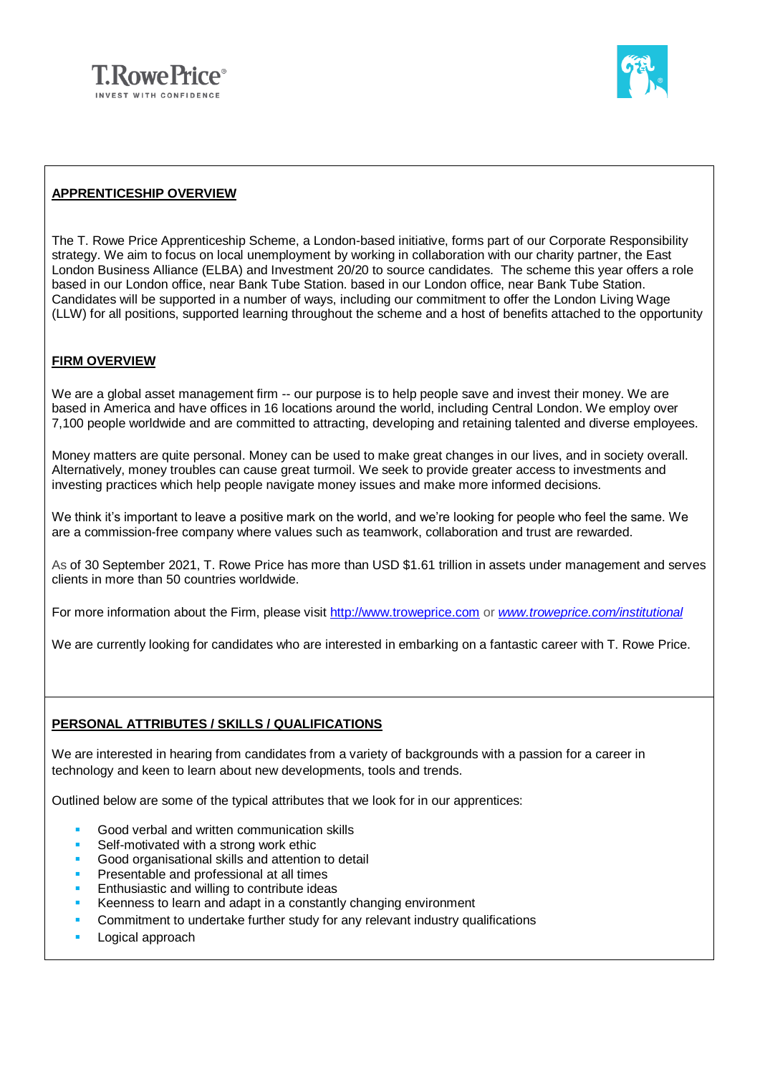



## **APPRENTICESHIP OVERVIEW**

The T. Rowe Price Apprenticeship Scheme, a London-based initiative, forms part of our Corporate Responsibility strategy. We aim to focus on local unemployment by working in collaboration with our charity partner, the East London Business Alliance (ELBA) and Investment 20/20 to source candidates. The scheme this year offers a role based in our London office, near Bank Tube Station. based in our London office, near Bank Tube Station. Candidates will be supported in a number of ways, including our commitment to offer the London Living Wage (LLW) for all positions, supported learning throughout the scheme and a host of benefits attached to the opportunity

## **FIRM OVERVIEW**

We are a global asset management firm -- our purpose is to help people save and invest their money. We are based in America and have offices in 16 locations around the world, including Central London. We employ over 7,100 people worldwide and are committed to attracting, developing and retaining talented and diverse employees.

Money matters are quite personal. Money can be used to make great changes in our lives, and in society overall. Alternatively, money troubles can cause great turmoil. We seek to provide greater access to investments and investing practices which help people navigate money issues and make more informed decisions.

We think it's important to leave a positive mark on the world, and we're looking for people who feel the same. We are a commission-free company where values such as teamwork, collaboration and trust are rewarded.

As of 30 September 2021, T. Rowe Price has more than USD \$1.61 trillion in assets under management and serves clients in more than 50 countries worldwide.

For more information about the Firm, please visit [http://www.troweprice.com](http://www.troweprice.com/) or *[www.troweprice.com/institutional](http://www.troweprice.com/institutional)*

We are currently looking for candidates who are interested in embarking on a fantastic career with T. Rowe Price.

# **PERSONAL ATTRIBUTES / SKILLS / QUALIFICATIONS**

We are interested in hearing from candidates from a variety of backgrounds with a passion for a career in technology and keen to learn about new developments, tools and trends.

Outlined below are some of the typical attributes that we look for in our apprentices:

- Good verbal and written communication skills
- Self-motivated with a strong work ethic
- Good organisational skills and attention to detail
- Presentable and professional at all times
- Enthusiastic and willing to contribute ideas
- **EXECO KEEN EXECO KEEN EXECO KEEN STARK** Keenness to learn and adapt in a constantly changing environment
- Commitment to undertake further study for any relevant industry qualifications
- **•** Logical approach